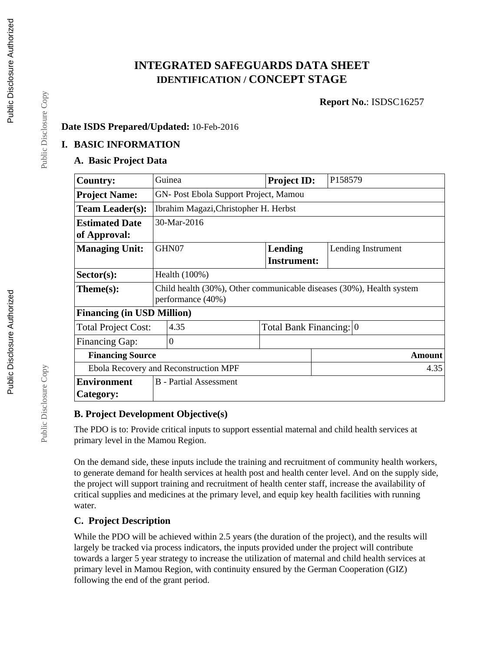# **INTEGRATED SAFEGUARDS DATA SHEET IDENTIFICATION / CONCEPT STAGE**

**Report No.**: ISDSC16257

## **Date ISDS Prepared/Updated:** 10-Feb-2016

## **I. BASIC INFORMATION**

# **A. Basic Project Data**

| <b>Country:</b>                       | Guinea                                                               | <b>Project ID:</b>      | P158579            |  |  |
|---------------------------------------|----------------------------------------------------------------------|-------------------------|--------------------|--|--|
| <b>Project Name:</b>                  | GN- Post Ebola Support Project, Mamou                                |                         |                    |  |  |
| <b>Team Leader(s):</b>                | Ibrahim Magazi, Christopher H. Herbst                                |                         |                    |  |  |
| <b>Estimated Date</b>                 | 30-Mar-2016                                                          |                         |                    |  |  |
| of Approval:                          |                                                                      |                         |                    |  |  |
| <b>Managing Unit:</b>                 | GHN07                                                                | Lending                 | Lending Instrument |  |  |
|                                       |                                                                      | <b>Instrument:</b>      |                    |  |  |
| $Sector(s)$ :                         | Health $(100\%)$                                                     |                         |                    |  |  |
| Theme(s):                             | Child health (30%), Other communicable diseases (30%), Health system |                         |                    |  |  |
|                                       | performance (40%)                                                    |                         |                    |  |  |
| <b>Financing (in USD Million)</b>     |                                                                      |                         |                    |  |  |
| <b>Total Project Cost:</b>            | 4.35                                                                 | Total Bank Financing: 0 |                    |  |  |
| <b>Financing Gap:</b>                 | $\overline{0}$                                                       |                         |                    |  |  |
| <b>Financing Source</b>               |                                                                      |                         | <b>Amount</b>      |  |  |
| Ebola Recovery and Reconstruction MPF |                                                                      |                         | 4.35               |  |  |
| <b>Environment</b>                    | <b>B</b> - Partial Assessment                                        |                         |                    |  |  |
| Category:                             |                                                                      |                         |                    |  |  |

#### **B. Project Development Objective(s)**

The PDO is to: Provide critical inputs to support essential maternal and child health services at primary level in the Mamou Region.

On the demand side, these inputs include the training and recruitment of community health workers, to generate demand for health services at health post and health center level. And on the supply side, the project will support training and recruitment of health center staff, increase the availability of critical supplies and medicines at the primary level, and equip key health facilities with running water.

# **C. Project Description**

While the PDO will be achieved within 2.5 years (the duration of the project), and the results will largely be tracked via process indicators, the inputs provided under the project will contribute towards a larger 5 year strategy to increase the utilization of maternal and child health services at primary level in Mamou Region, with continuity ensured by the German Cooperation (GIZ) following the end of the grant period.

Public Disclosure Copy

Public Disclosure Copy

Public Disclosure Copy

Public Disclosure Copy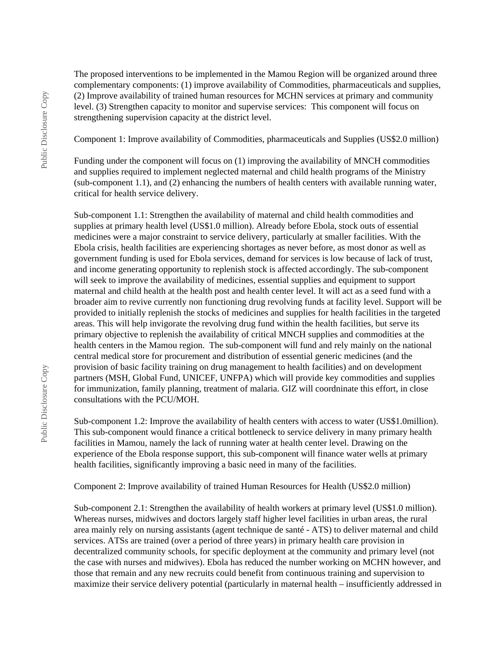The proposed interventions to be implemented in the Mamou Region will be organized around three complementary components: (1) improve availability of Commodities, pharmaceuticals and supplies, (2) Improve availability of trained human resources for MCHN services at primary and community level. (3) Strengthen capacity to monitor and supervise services: This component will focus on strengthening supervision capacity at the district level.

Component 1: Improve availability of Commodities, pharmaceuticals and Supplies (US\$2.0 million)

Funding under the component will focus on (1) improving the availability of MNCH commodities and supplies required to implement neglected maternal and child health programs of the Ministry (sub-component 1.1), and (2) enhancing the numbers of health centers with available running water, critical for health service delivery.

Sub-component 1.1: Strengthen the availability of maternal and child health commodities and supplies at primary health level (US\$1.0 million). Already before Ebola, stock outs of essential medicines were a major constraint to service delivery, particularly at smaller facilities. With the Ebola crisis, health facilities are experiencing shortages as never before, as most donor as well as government funding is used for Ebola services, demand for services is low because of lack of trust, and income generating opportunity to replenish stock is affected accordingly. The sub-component will seek to improve the availability of medicines, essential supplies and equipment to support maternal and child health at the health post and health center level. It will act as a seed fund with a broader aim to revive currently non functioning drug revolving funds at facility level. Support will be provided to initially replenish the stocks of medicines and supplies for health facilities in the targeted areas. This will help invigorate the revolving drug fund within the health facilities, but serve its primary objective to replenish the availability of critical MNCH supplies and commodities at the health centers in the Mamou region. The sub-component will fund and rely mainly on the national central medical store for procurement and distribution of essential generic medicines (and the provision of basic facility training on drug management to health facilities) and on development partners (MSH, Global Fund, UNICEF, UNFPA) which will provide key commodities and supplies for immunization, family planning, treatment of malaria. GIZ will coordninate this effort, in close consultations with the PCU/MOH.

Sub-component 1.2: Improve the availability of health centers with access to water (US\$1.0million). This sub-component would finance a critical bottleneck to service delivery in many primary health facilities in Mamou, namely the lack of running water at health center level. Drawing on the experience of the Ebola response support, this sub-component will finance water wells at primary health facilities, significantly improving a basic need in many of the facilities.

Component 2: Improve availability of trained Human Resources for Health (US\$2.0 million)

Sub-component 2.1: Strengthen the availability of health workers at primary level (US\$1.0 million). Whereas nurses, midwives and doctors largely staff higher level facilities in urban areas, the rural area mainly rely on nursing assistants (agent technique de santé - ATS) to deliver maternal and child services. ATSs are trained (over a period of three years) in primary health care provision in decentralized community schools, for specific deployment at the community and primary level (not the case with nurses and midwives). Ebola has reduced the number working on MCHN however, and those that remain and any new recruits could benefit from continuous training and supervision to maximize their service delivery potential (particularly in maternal health – insufficiently addressed in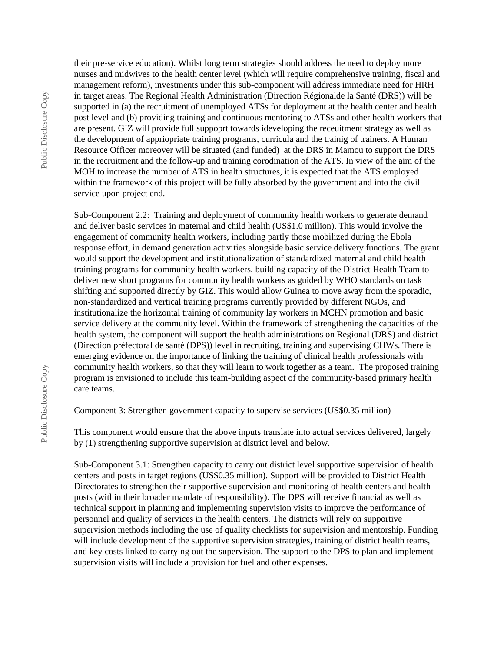their pre-service education). Whilst long term strategies should address the need to deploy more nurses and midwives to the health center level (which will require comprehensive training, fiscal and management reform), investments under this sub-component will address immediate need for HRH in target areas. The Regional Health Administration (Direction Régionalde la Santé (DRS)) will be supported in (a) the recruitment of unemployed ATSs for deployment at the health center and health post level and (b) providing training and continuous mentoring to ATSs and other health workers that are present. GIZ will provide full suppoprt towards ideveloping the receuitment strategy as well as the development of appriopriate training programs, curricula and the trainig of trainers. A Human Resource Officer moreover will be situated (and funded) at the DRS in Mamou to support the DRS in the recruitment and the follow-up and training corodination of the ATS. In view of the aim of the MOH to increase the number of ATS in health structures, it is expected that the ATS employed

service upon project end. Sub-Component 2.2: Training and deployment of community health workers to generate demand and deliver basic services in maternal and child health (US\$1.0 million). This would involve the engagement of community health workers, including partly those mobilized during the Ebola response effort, in demand generation activities alongside basic service delivery functions. The grant would support the development and institutionalization of standardized maternal and child health training programs for community health workers, building capacity of the District Health Team to deliver new short programs for community health workers as guided by WHO standards on task shifting and supported directly by GIZ. This would allow Guinea to move away from the sporadic, non-standardized and vertical training programs currently provided by different NGOs, and institutionalize the horizontal training of community lay workers in MCHN promotion and basic service delivery at the community level. Within the framework of strengthening the capacities of the health system, the component will support the health administrations on Regional (DRS) and district (Direction préfectoral de santé (DPS)) level in recruiting, training and supervising CHWs. There is emerging evidence on the importance of linking the training of clinical health professionals with community health workers, so that they will learn to work together as a team. The proposed training program is envisioned to include this team-building aspect of the community-based primary health care teams.

within the framework of this project will be fully absorbed by the government and into the civil

Component 3: Strengthen government capacity to supervise services (US\$0.35 million)

This component would ensure that the above inputs translate into actual services delivered, largely by (1) strengthening supportive supervision at district level and below.

Sub-Component 3.1: Strengthen capacity to carry out district level supportive supervision of health centers and posts in target regions (US\$0.35 million). Support will be provided to District Health Directorates to strengthen their supportive supervision and monitoring of health centers and health posts (within their broader mandate of responsibility). The DPS will receive financial as well as technical support in planning and implementing supervision visits to improve the performance of personnel and quality of services in the health centers. The districts will rely on supportive supervision methods including the use of quality checklists for supervision and mentorship. Funding will include development of the supportive supervision strategies, training of district health teams, and key costs linked to carrying out the supervision. The support to the DPS to plan and implement supervision visits will include a provision for fuel and other expenses.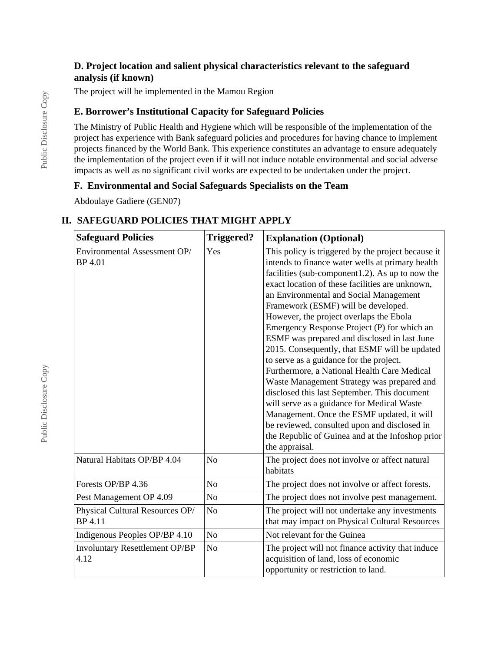## **D. Project location and salient physical characteristics relevant to the safeguard analysis (if known)**

The project will be implemented in the Mamou Region

# **E. Borrower's Institutional Capacity for Safeguard Policies**

The Ministry of Public Health and Hygiene which will be responsible of the implementation of the project has experience with Bank safeguard policies and procedures for having chance to implement projects financed by the World Bank. This experience constitutes an advantage to ensure adequately the implementation of the project even if it will not induce notable environmental and social adverse impacts as well as no significant civil works are expected to be undertaken under the project.

#### **F. Environmental and Social Safeguards Specialists on the Team**

Abdoulaye Gadiere (GEN07)

# **II. SAFEGUARD POLICIES THAT MIGHT APPLY**

| <b>Safeguard Policies</b>                         | <b>Triggered?</b> | <b>Explanation (Optional)</b>                                                                                                                                                                                                                                                                                                                                                                                                                                                                                                                                                                                                                                                                                                                                                                                                                                                                      |  |
|---------------------------------------------------|-------------------|----------------------------------------------------------------------------------------------------------------------------------------------------------------------------------------------------------------------------------------------------------------------------------------------------------------------------------------------------------------------------------------------------------------------------------------------------------------------------------------------------------------------------------------------------------------------------------------------------------------------------------------------------------------------------------------------------------------------------------------------------------------------------------------------------------------------------------------------------------------------------------------------------|--|
| Environmental Assessment OP/<br>BP 4.01           | Yes               | This policy is triggered by the project because it<br>intends to finance water wells at primary health<br>facilities (sub-component1.2). As up to now the<br>exact location of these facilities are unknown,<br>an Environmental and Social Management<br>Framework (ESMF) will be developed.<br>However, the project overlaps the Ebola<br>Emergency Response Project (P) for which an<br>ESMF was prepared and disclosed in last June<br>2015. Consequently, that ESMF will be updated<br>to serve as a guidance for the project.<br>Furthermore, a National Health Care Medical<br>Waste Management Strategy was prepared and<br>disclosed this last September. This document<br>will serve as a guidance for Medical Waste<br>Management. Once the ESMF updated, it will<br>be reviewed, consulted upon and disclosed in<br>the Republic of Guinea and at the Infoshop prior<br>the appraisal. |  |
| Natural Habitats OP/BP 4.04                       | N <sub>o</sub>    | The project does not involve or affect natural<br>habitats                                                                                                                                                                                                                                                                                                                                                                                                                                                                                                                                                                                                                                                                                                                                                                                                                                         |  |
| Forests OP/BP 4.36                                | No                | The project does not involve or affect forests.                                                                                                                                                                                                                                                                                                                                                                                                                                                                                                                                                                                                                                                                                                                                                                                                                                                    |  |
| Pest Management OP 4.09                           | N <sub>o</sub>    | The project does not involve pest management.                                                                                                                                                                                                                                                                                                                                                                                                                                                                                                                                                                                                                                                                                                                                                                                                                                                      |  |
| Physical Cultural Resources OP/<br><b>BP</b> 4.11 | No                | The project will not undertake any investments<br>that may impact on Physical Cultural Resources                                                                                                                                                                                                                                                                                                                                                                                                                                                                                                                                                                                                                                                                                                                                                                                                   |  |
| Indigenous Peoples OP/BP 4.10                     | N <sub>o</sub>    | Not relevant for the Guinea                                                                                                                                                                                                                                                                                                                                                                                                                                                                                                                                                                                                                                                                                                                                                                                                                                                                        |  |
| <b>Involuntary Resettlement OP/BP</b><br>4.12     | No                | The project will not finance activity that induce<br>acquisition of land, loss of economic<br>opportunity or restriction to land.                                                                                                                                                                                                                                                                                                                                                                                                                                                                                                                                                                                                                                                                                                                                                                  |  |